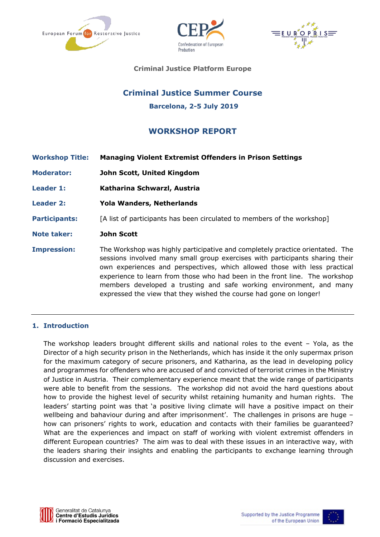





**Criminal Justice Platform Europe**

# **Criminal Justice Summer Course Barcelona, 2-5 July 2019**

# **WORKSHOP REPORT**

| <b>Workshop Title:</b> | <b>Managing Violent Extremist Offenders in Prison Settings</b>                                                                                                                                                                                                                                                                                                                                                                                                         |
|------------------------|------------------------------------------------------------------------------------------------------------------------------------------------------------------------------------------------------------------------------------------------------------------------------------------------------------------------------------------------------------------------------------------------------------------------------------------------------------------------|
| <b>Moderator:</b>      | John Scott, United Kingdom                                                                                                                                                                                                                                                                                                                                                                                                                                             |
| Leader 1:              | Katharina Schwarzl, Austria                                                                                                                                                                                                                                                                                                                                                                                                                                            |
| <b>Leader 2:</b>       | <b>Yola Wanders, Netherlands</b>                                                                                                                                                                                                                                                                                                                                                                                                                                       |
| <b>Participants:</b>   | [A list of participants has been circulated to members of the workshop]                                                                                                                                                                                                                                                                                                                                                                                                |
| <b>Note taker:</b>     | <b>John Scott</b>                                                                                                                                                                                                                                                                                                                                                                                                                                                      |
| <b>Impression:</b>     | The Workshop was highly participative and completely practice orientated. The<br>sessions involved many small group exercises with participants sharing their<br>own experiences and perspectives, which allowed those with less practical<br>experience to learn from those who had been in the front line. The workshop<br>members developed a trusting and safe working environment, and many<br>expressed the view that they wished the course had gone on longer! |

#### **1. Introduction**

The workshop leaders brought different skills and national roles to the event – Yola, as the Director of a high security prison in the Netherlands, which has inside it the only supermax prison for the maximum category of secure prisoners, and Katharina, as the lead in developing policy and programmes for offenders who are accused of and convicted of terrorist crimes in the Ministry of Justice in Austria. Their complementary experience meant that the wide range of participants were able to benefit from the sessions. The workshop did not avoid the hard questions about how to provide the highest level of security whilst retaining humanity and human rights. The leaders' starting point was that 'a positive living climate will have a positive impact on their wellbeing and bahaviour during and after imprisonment'. The challenges in prisons are huge – how can prisoners' rights to work, education and contacts with their families be guaranteed? What are the experiences and impact on staff of working with violent extremist offenders in different European countries? The aim was to deal with these issues in an interactive way, with the leaders sharing their insights and enabling the participants to exchange learning through discussion and exercises.



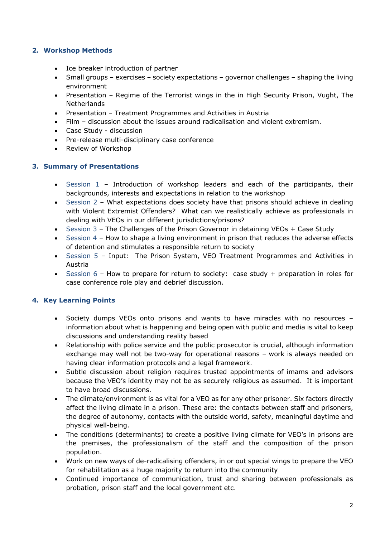# **2. Workshop Methods**

- Ice breaker introduction of partner
- Small groups exercises society expectations governor challenges shaping the living environment
- Presentation Regime of the Terrorist wings in the in High Security Prison, Vught, The Netherlands
- Presentation Treatment Programmes and Activities in Austria
- Film discussion about the issues around radicalisation and violent extremism.
- Case Study discussion
- Pre-release multi-disciplinary case conference
- Review of Workshop

### **3. Summary of Presentations**

- Session 1 Introduction of workshop leaders and each of the participants, their backgrounds, interests and expectations in relation to the workshop
- Session 2 What expectations does society have that prisons should achieve in dealing with Violent Extremist Offenders? What can we realistically achieve as professionals in dealing with VEOs in our different jurisdictions/prisons?
- Session 3 The Challenges of the Prison Governor in detaining VEOs + Case Study
- Session 4 How to shape a living environment in prison that reduces the adverse effects of detention and stimulates a responsible return to society
- Session 5 Input: The Prison System, VEO Treatment Programmes and Activities in Austria
- Session 6 How to prepare for return to society: case study + preparation in roles for case conference role play and debrief discussion.

# **4. Key Learning Points**

- Society dumps VEOs onto prisons and wants to have miracles with no resources information about what is happening and being open with public and media is vital to keep discussions and understanding reality based
- Relationship with police service and the public prosecutor is crucial, although information exchange may well not be two-way for operational reasons – work is always needed on having clear information protocols and a legal framework.
- Subtle discussion about religion requires trusted appointments of imams and advisors because the VEO's identity may not be as securely religious as assumed. It is important to have broad discussions.
- The climate/environment is as vital for a VEO as for any other prisoner. Six factors directly affect the living climate in a prison. These are: the contacts between staff and prisoners, the degree of autonomy, contacts with the outside world, safety, meaningful daytime and physical well-being.
- The conditions (determinants) to create a positive living climate for VEO's in prisons are the premises, the professionalism of the staff and the composition of the prison population.
- Work on new ways of de-radicalising offenders, in or out special wings to prepare the VEO for rehabilitation as a huge majority to return into the community
- Continued importance of communication, trust and sharing between professionals as probation, prison staff and the local government etc.